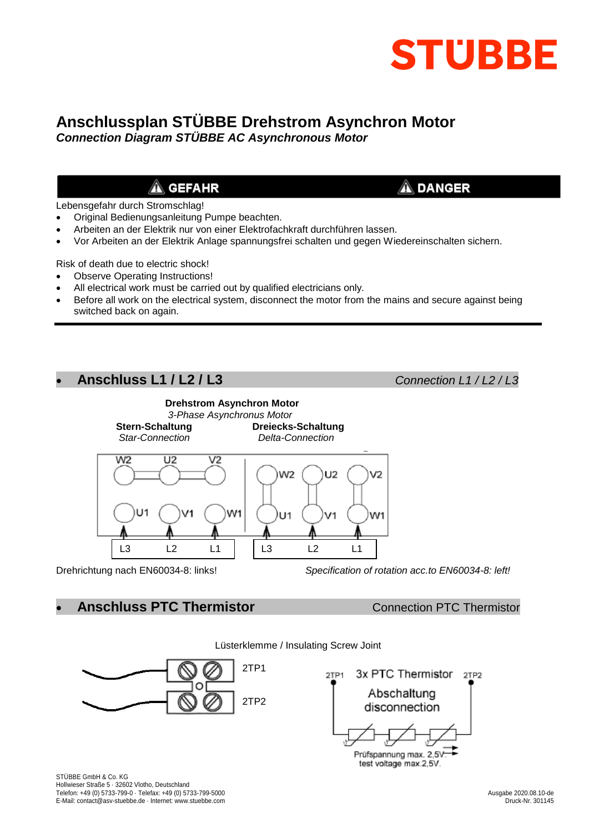

# **Anschlussplan STÜBBE Drehstrom Asynchron Motor**

*Connection Diagram STÜBBE AC Asynchronous Motor*

## $\triangle$  GEFAHR

Lebensgefahr durch Stromschlag!

- Original Bedienungsanleitung Pumpe beachten.
- Arbeiten an der Elektrik nur von einer Elektrofachkraft durchführen lassen.
- Vor Arbeiten an der Elektrik Anlage spannungsfrei schalten und gegen Wiedereinschalten sichern.

Risk of death due to electric shock!

- Observe Operating Instructions!
- All electrical work must be carried out by qualified electricians only.
- Before all work on the electrical system, disconnect the motor from the mains and secure against being switched back on again.

### **Anschluss L1 / L2 / L3** *Connection L1 / L2 / L3*

 $\mathbf{\hat{A}}$  danger



Drehrichtung nach EN60034-8: links! *Specification of rotation acc.to EN60034-8: left!*

**Anschluss PTC Thermistor Connection PTC Thermistor**